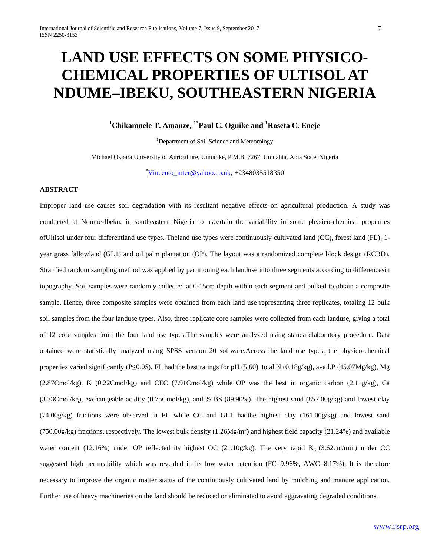# **LAND USE EFFECTS ON SOME PHYSICO-CHEMICAL PROPERTIES OF ULTISOL AT NDUME–IBEKU, SOUTHEASTERN NIGERIA**

## **1 Chikamnele T. Amanze, 1\*Paul C. Oguike and 1 Roseta C. Eneje**

<sup>1</sup>Department of Soil Science and Meteorology

Michael Okpara University of Agriculture, Umudike, P.M.B. 7267, Umuahia, Abia State, Nigeria

 $\overline{v}$ Vincento inter@yahoo.co.uk; +2348035518350

## **ABSTRACT**

Improper land use causes soil degradation with its resultant negative effects on agricultural production. A study was conducted at Ndume-Ibeku, in southeastern Nigeria to ascertain the variability in some physico-chemical properties ofUltisol under four differentland use types. Theland use types were continuously cultivated land (CC), forest land (FL), 1 year grass fallowland (GL1) and oil palm plantation (OP). The layout was a randomized complete block design (RCBD). Stratified random sampling method was applied by partitioning each landuse into three segments according to differencesin topography. Soil samples were randomly collected at 0-15cm depth within each segment and bulked to obtain a composite sample. Hence, three composite samples were obtained from each land use representing three replicates, totaling 12 bulk soil samples from the four landuse types. Also, three replicate core samples were collected from each landuse, giving a total of 12 core samples from the four land use types.The samples were analyzed using standardlaboratory procedure. Data obtained were statistically analyzed using SPSS version 20 software.Across the land use types, the physico-chemical properties varied significantly (P≤0.05). FL had the best ratings for pH (5.60), total N (0.18g/kg), avail.P (45.07Mg/kg), Mg (2.87Cmol/kg), K (0.22Cmol/kg) and CEC (7.91Cmol/kg) while OP was the best in organic carbon (2.11g/kg), Ca  $(3.73Cmol/kg)$ , exchangeable acidity  $(0.75Cmol/kg)$ , and % BS (89.90%). The highest sand  $(857.00g/kg)$  and lowest clay (74.00g/kg) fractions were observed in FL while CC and GL1 hadthe highest clay (161.00g/kg) and lowest sand (750.00g/kg) fractions, respectively. The lowest bulk density  $(1.26Mg/m<sup>3</sup>)$  and highest field capacity (21.24%) and available water content (12.16%) under OP reflected its highest OC (21.10g/kg). The very rapid  $K_{sat}(3.62cm/min)$  under CC suggested high permeability which was revealed in its low water retention (FC=9.96%, AWC=8.17%). It is therefore necessary to improve the organic matter status of the continuously cultivated land by mulching and manure application. Further use of heavy machineries on the land should be reduced or eliminated to avoid aggravating degraded conditions.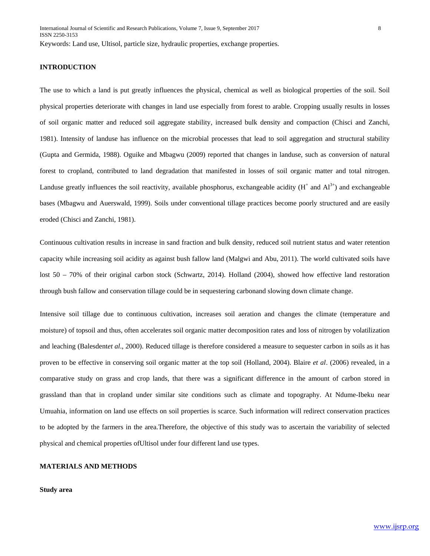## **INTRODUCTION**

The use to which a land is put greatly influences the physical, chemical as well as biological properties of the soil. Soil physical properties deteriorate with changes in land use especially from forest to arable. Cropping usually results in losses of soil organic matter and reduced soil aggregate stability, increased bulk density and compaction (Chisci and Zanchi, 1981). Intensity of landuse has influence on the microbial processes that lead to soil aggregation and structural stability (Gupta and Germida, 1988). Oguike and Mbagwu (2009) reported that changes in landuse, such as conversion of natural forest to cropland, contributed to land degradation that manifested in losses of soil organic matter and total nitrogen. Landuse greatly influences the soil reactivity, available phosphorus, exchangeable acidity  $(H^+$  and  $Al^{3+}$ ) and exchangeable bases (Mbagwu and Auerswald, 1999). Soils under conventional tillage practices become poorly structured and are easily eroded (Chisci and Zanchi, 1981).

Continuous cultivation results in increase in sand fraction and bulk density, reduced soil nutrient status and water retention capacity while increasing soil acidity as against bush fallow land (Malgwi and Abu, 2011). The world cultivated soils have lost 50 – 70% of their original carbon stock (Schwartz, 2014). Holland (2004), showed how effective land restoration through bush fallow and conservation tillage could be in sequestering carbonand slowing down climate change.

Intensive soil tillage due to continuous cultivation, increases soil aeration and changes the climate (temperature and moisture) of topsoil and thus, often accelerates soil organic matter decomposition rates and loss of nitrogen by volatilization and leaching (Balesdent*et al*., 2000). Reduced tillage is therefore considered a measure to sequester carbon in soils as it has proven to be effective in conserving soil organic matter at the top soil (Holland, 2004). Blaire *et al*. (2006) revealed, in a comparative study on grass and crop lands, that there was a significant difference in the amount of carbon stored in grassland than that in cropland under similar site conditions such as climate and topography. At Ndume-Ibeku near Umuahia, information on land use effects on soil properties is scarce. Such information will redirect conservation practices to be adopted by the farmers in the area.Therefore, the objective of this study was to ascertain the variability of selected physical and chemical properties ofUltisol under four different land use types.

#### **MATERIALS AND METHODS**

#### **Study area**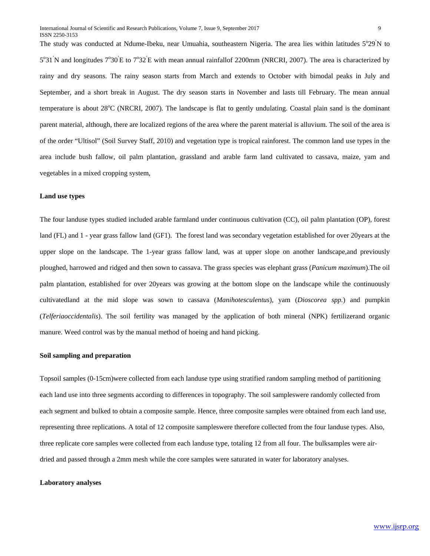The study was conducted at Ndume-Ibeku, near Umuahia, southeastern Nigeria. The area lies within latitudes 5°29<sup>'</sup>N to  $5^{\circ}31'$ N and longitudes  $7^{\circ}30'E$  to  $7^{\circ}32'E$  with mean annual rainfallof 2200mm (NRCRI, 2007). The area is characterized by rainy and dry seasons. The rainy season starts from March and extends to October with bimodal peaks in July and September, and a short break in August. The dry season starts in November and lasts till February. The mean annual temperature is about 28°C (NRCRI, 2007). The landscape is flat to gently undulating. Coastal plain sand is the dominant parent material, although, there are localized regions of the area where the parent material is alluvium. The soil of the area is of the order "Ultisol" (Soil Survey Staff, 2010) and vegetation type is tropical rainforest. The common land use types in the area include bush fallow, oil palm plantation, grassland and arable farm land cultivated to cassava, maize, yam and vegetables in a mixed cropping system,

#### **Land use types**

The four landuse types studied included arable farmland under continuous cultivation (CC), oil palm plantation (OP), forest land (FL) and 1 - year grass fallow land (GF1). The forest land was secondary vegetation established for over 20years at the upper slope on the landscape. The 1-year grass fallow land, was at upper slope on another landscape,and previously ploughed, harrowed and ridged and then sown to cassava. The grass species was elephant grass (*Panicum maximum*).The oil palm plantation, established for over 20years was growing at the bottom slope on the landscape while the continuously cultivatedland at the mid slope was sown to cassava (*Manihotesculentus*), yam (*Dioscorea spp.*) and pumpkin (*Telferiaoccidentalis*). The soil fertility was managed by the application of both mineral (NPK) fertilizerand organic manure. Weed control was by the manual method of hoeing and hand picking.

#### **Soil sampling and preparation**

Topsoil samples (0-15cm)were collected from each landuse type using stratified random sampling method of partitioning each land use into three segments according to differences in topography. The soil sampleswere randomly collected from each segment and bulked to obtain a composite sample. Hence, three composite samples were obtained from each land use, representing three replications. A total of 12 composite sampleswere therefore collected from the four landuse types. Also, three replicate core samples were collected from each landuse type, totaling 12 from all four. The bulksamples were airdried and passed through a 2mm mesh while the core samples were saturated in water for laboratory analyses.

#### **Laboratory analyses**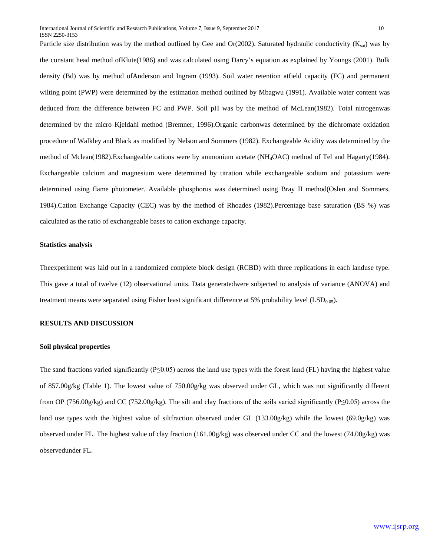Particle size distribution was by the method outlined by Gee and Or(2002). Saturated hydraulic conductivity  $(K_{sat})$  was by the constant head method ofKlute(1986) and was calculated using Darcy's equation as explained by Youngs (2001). Bulk density (Bd) was by method ofAnderson and Ingram (1993). Soil water retention atfield capacity (FC) and permanent wilting point (PWP) were determined by the estimation method outlined by Mbagwu (1991). Available water content was deduced from the difference between FC and PWP. Soil pH was by the method of McLean(1982). Total nitrogenwas determined by the micro Kjeldahl method (Bremner, 1996).Organic carbonwas determined by the dichromate oxidation procedure of Walkley and Black as modified by Nelson and Sommers (1982). Exchangeable Acidity was determined by the method of Mclean(1982).Exchangeable cations were by ammonium acetate (NH4OAC) method of Tel and Hagarty(1984). Exchangeable calcium and magnesium were determined by titration while exchangeable sodium and potassium were determined using flame photometer. Available phosphorus was determined using Bray II method(Oslen and Sommers, 1984).Cation Exchange Capacity (CEC) was by the method of Rhoades (1982).Percentage base saturation (BS %) was calculated as the ratio of exchangeable bases to cation exchange capacity.

#### **Statistics analysis**

Theexperiment was laid out in a randomized complete block design (RCBD) with three replications in each landuse type. This gave a total of twelve (12) observational units. Data generatedwere subjected to analysis of variance (ANOVA) and treatment means were separated using Fisher least significant difference at 5% probability level  $(LSD<sub>0.05</sub>)$ .

## **RESULTS AND DISCUSSION**

## **Soil physical properties**

The sand fractions varied significantly ( $P \le 0.05$ ) across the land use types with the forest land (FL) having the highest value of 857.00g/kg (Table 1). The lowest value of 750.00g/kg was observed under GL, which was not significantly different from OP (756.00g/kg) and CC (752.00g/kg). The silt and clay fractions of the soils varied significantly (P≤0.05) across the land use types with the highest value of siltfraction observed under GL (133.00g/kg) while the lowest (69.0g/kg) was observed under FL. The highest value of clay fraction (161.00g/kg) was observed under CC and the lowest (74.00g/kg) was observedunder FL.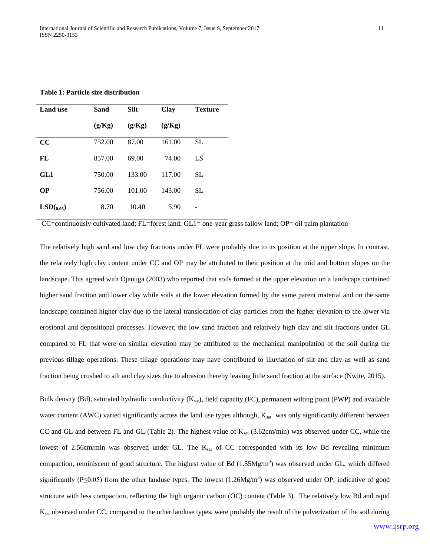**Table 1: Particle size distribution** 

| <b>Land use</b> | Sand   | <b>Silt</b> | <b>Clay</b> | <b>Texture</b> |  |
|-----------------|--------|-------------|-------------|----------------|--|
|                 | (g/Kg) | (g/Kg)      | (g/Kg)      |                |  |
| cc              | 752.00 | 87.00       | 161.00      | <b>SL</b>      |  |
| FL              | 857.00 | 69.00       | 74.00       | LS             |  |
| GL1             | 750.00 | 133.00      | 117.00      | <b>SL</b>      |  |
| <b>OP</b>       | 756.00 | 101.00      | 143.00      | SL.            |  |
| LSD(0.05)       | 8.70   | 10.40       | 5.90        | -              |  |

CC=continuously cultivated land; FL=forest land; GL1= one-year grass fallow land; OP= oil palm plantation

The relatively high sand and low clay fractions under FL were probably due to its position at the upper slope. In contrast, the relatively high clay content under CC and OP may be attributed to their position at the mid and bottom slopes on the landscape. This agreed with Ojanuga (2003) who reported that soils formed at the upper elevation on a landscape contained higher sand fraction and lower clay while soils at the lower elevation formed by the same parent material and on the same landscape contained higher clay due to the lateral translocation of clay particles from the higher elevation to the lower via erosional and depositional processes. However, the low sand fraction and relatively high clay and silt fractions under GL compared to FL that were on similar elevation may be attributed to the mechanical manipulation of the soil during the previous tillage operations. These tillage operations may have contributed to illuviation of silt and clay as well as sand fraction being crushed to silt and clay sizes due to abrasion thereby leaving little sand fraction at the surface (Nwite, 2015).

Bulk density (Bd), saturated hydraulic conductivity  $(K_{sat})$ , field capacity (FC), permanent wilting point (PWP) and available water content (AWC) varied significantly across the land use types although, Ksat was only significantly different between CC and GL and between FL and GL (Table 2). The highest value of  $K_{sat}$  (3.62cm/min) was observed under CC, while the lowest of 2.56cm/min was observed under GL. The K<sub>sat</sub> of CC corresponded with its low Bd revealing minimum compaction, reminiscent of good structure. The highest value of Bd  $(1.55Mg/m<sup>3</sup>)$  was observed under GL, which differed significantly (P $\leq$ 0.05) from the other landuse types. The lowest (1.26Mg/m<sup>3</sup>) was observed under OP, indicative of good structure with less compaction, reflecting the high organic carbon (OC) content (Table 3). The relatively low Bd and rapid K<sub>sat</sub> observed under CC, compared to the other landuse types, were probably the result of the pulverization of the soil during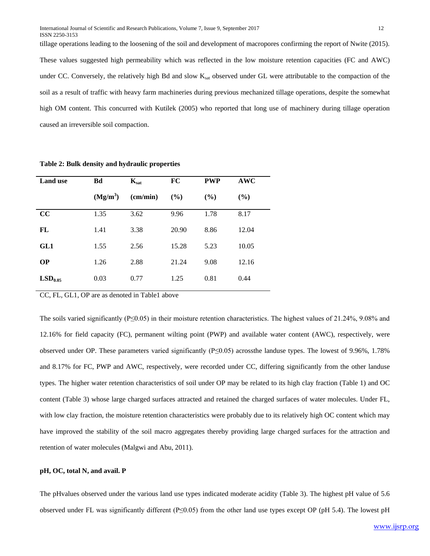tillage operations leading to the loosening of the soil and development of macropores confirming the report of Nwite (2015). These values suggested high permeability which was reflected in the low moisture retention capacities (FC and AWC) under CC. Conversely, the relatively high Bd and slow  $K_{sat}$  observed under GL were attributable to the compaction of the soil as a result of traffic with heavy farm machineries during previous mechanized tillage operations, despite the somewhat high OM content. This concurred with Kutilek (2005) who reported that long use of machinery during tillage operation caused an irreversible soil compaction.

| <b>Land</b> use     | Bd         | $K_{\text{sat}}$  | <b>FC</b> | <b>PWP</b> | AWC   |  |
|---------------------|------------|-------------------|-----------|------------|-------|--|
|                     | $(Mg/m^3)$ | $\text{(cm/min)}$ | (%)       | (%)        | (%)   |  |
| cc                  | 1.35       | 3.62              | 9.96      | 1.78       | 8.17  |  |
| FL                  | 1.41       | 3.38              | 20.90     | 8.86       | 12.04 |  |
| GL1                 | 1.55       | 2.56              | 15.28     | 5.23       | 10.05 |  |
| <b>OP</b>           | 1.26       | 2.88              | 21.24     | 9.08       | 12.16 |  |
| LSD <sub>0.05</sub> | 0.03       | 0.77              | 1.25      | 0.81       | 0.44  |  |

**Table 2: Bulk density and hydraulic properties** 

CC, FL, GL1, OP are as denoted in Table1 above

The soils varied significantly ( $P \le 0.05$ ) in their moisture retention characteristics. The highest values of 21.24%, 9.08% and 12.16% for field capacity (FC), permanent wilting point (PWP) and available water content (AWC), respectively, were observed under OP. These parameters varied significantly (P≤0.05) acrossthe landuse types. The lowest of 9.96%, 1.78% and 8.17% for FC, PWP and AWC, respectively, were recorded under CC, differing significantly from the other landuse types. The higher water retention characteristics of soil under OP may be related to its high clay fraction (Table 1) and OC content (Table 3) whose large charged surfaces attracted and retained the charged surfaces of water molecules. Under FL, with low clay fraction, the moisture retention characteristics were probably due to its relatively high OC content which may have improved the stability of the soil macro aggregates thereby providing large charged surfaces for the attraction and retention of water molecules (Malgwi and Abu, 2011).

#### **pH, OC, total N, and avail. P**

The pHvalues observed under the various land use types indicated moderate acidity (Table 3). The highest pH value of 5.6 observed under FL was significantly different (P≤0.05) from the other land use types except OP (pH 5.4). The lowest pH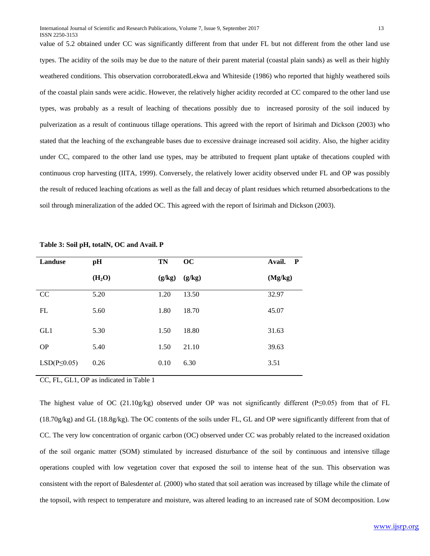value of 5.2 obtained under CC was significantly different from that under FL but not different from the other land use types. The acidity of the soils may be due to the nature of their parent material (coastal plain sands) as well as their highly weathered conditions. This observation corroboratedLekwa and Whiteside (1986) who reported that highly weathered soils of the coastal plain sands were acidic. However, the relatively higher acidity recorded at CC compared to the other land use types, was probably as a result of leaching of thecations possibly due to increased porosity of the soil induced by pulverization as a result of continuous tillage operations. This agreed with the report of Isirimah and Dickson (2003) who stated that the leaching of the exchangeable bases due to excessive drainage increased soil acidity. Also, the higher acidity under CC, compared to the other land use types, may be attributed to frequent plant uptake of thecations coupled with continuous crop harvesting (IITA, 1999). Conversely, the relatively lower acidity observed under FL and OP was possibly the result of reduced leaching ofcations as well as the fall and decay of plant residues which returned absorbedcations to the soil through mineralization of the added OC. This agreed with the report of Isirimah and Dickson (2003).

| Landuse            | pH                 | <b>TN</b> | OC     | $\mathbf{P}$<br>Avail. |
|--------------------|--------------------|-----------|--------|------------------------|
|                    | (H <sub>2</sub> O) | (g/kg)    | (g/kg) | (Mg/kg)                |
| CC                 | 5.20               | 1.20      | 13.50  | 32.97                  |
| FL                 | 5.60               | 1.80      | 18.70  | 45.07                  |
| GL1                | 5.30               | 1.50      | 18.80  | 31.63                  |
| <b>OP</b>          | 5.40               | 1.50      | 21.10  | 39.63                  |
| $LSD(P \leq 0.05)$ | 0.26               | 0.10      | 6.30   | 3.51                   |

**Table 3: Soil pH, totalN, OC and Avail. P** 

CC, FL, GL1, OP as indicated in Table 1

The highest value of OC (21.10g/kg) observed under OP was not significantly different (P≤0.05) from that of FL (18.70g/kg) and GL (18.8g/kg). The OC contents of the soils under FL, GL and OP were significantly different from that of CC. The very low concentration of organic carbon (OC) observed under CC was probably related to the increased oxidation of the soil organic matter (SOM) stimulated by increased disturbance of the soil by continuous and intensive tillage operations coupled with low vegetation cover that exposed the soil to intense heat of the sun. This observation was consistent with the report of Balesdent*et al.* (2000) who stated that soil aeration was increased by tillage while the climate of the topsoil, with respect to temperature and moisture, was altered leading to an increased rate of SOM decomposition. Low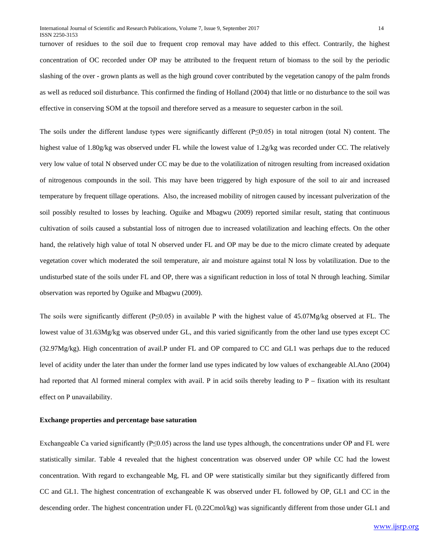turnover of residues to the soil due to frequent crop removal may have added to this effect. Contrarily, the highest concentration of OC recorded under OP may be attributed to the frequent return of biomass to the soil by the periodic slashing of the over - grown plants as well as the high ground cover contributed by the vegetation canopy of the palm fronds as well as reduced soil disturbance. This confirmed the finding of Holland (2004) that little or no disturbance to the soil was effective in conserving SOM at the topsoil and therefore served as a measure to sequester carbon in the soil.

The soils under the different landuse types were significantly different (P≤0.05) in total nitrogen (total N) content. The highest value of 1.80g/kg was observed under FL while the lowest value of 1.2g/kg was recorded under CC. The relatively very low value of total N observed under CC may be due to the volatilization of nitrogen resulting from increased oxidation of nitrogenous compounds in the soil. This may have been triggered by high exposure of the soil to air and increased temperature by frequent tillage operations. Also, the increased mobility of nitrogen caused by incessant pulverization of the soil possibly resulted to losses by leaching. Oguike and Mbagwu (2009) reported similar result, stating that continuous cultivation of soils caused a substantial loss of nitrogen due to increased volatilization and leaching effects. On the other hand, the relatively high value of total N observed under FL and OP may be due to the micro climate created by adequate vegetation cover which moderated the soil temperature, air and moisture against total N loss by volatilization. Due to the undisturbed state of the soils under FL and OP, there was a significant reduction in loss of total N through leaching. Similar observation was reported by Oguike and Mbagwu (2009).

The soils were significantly different (P≤0.05) in available P with the highest value of 45.07Mg/kg observed at FL. The lowest value of 31.63Mg/kg was observed under GL, and this varied significantly from the other land use types except CC (32.97Mg/kg). High concentration of avail.P under FL and OP compared to CC and GL1 was perhaps due to the reduced level of acidity under the later than under the former land use types indicated by low values of exchangeable Al.Ano (2004) had reported that Al formed mineral complex with avail. P in acid soils thereby leading to P – fixation with its resultant effect on P unavailability.

#### **Exchange properties and percentage base saturation**

Exchangeable Ca varied significantly (P≤0.05) across the land use types although, the concentrations under OP and FL were statistically similar. Table 4 revealed that the highest concentration was observed under OP while CC had the lowest concentration. With regard to exchangeable Mg, FL and OP were statistically similar but they significantly differed from CC and GL1. The highest concentration of exchangeable K was observed under FL followed by OP, GL1 and CC in the descending order. The highest concentration under FL (0.22Cmol/kg) was significantly different from those under GL1 and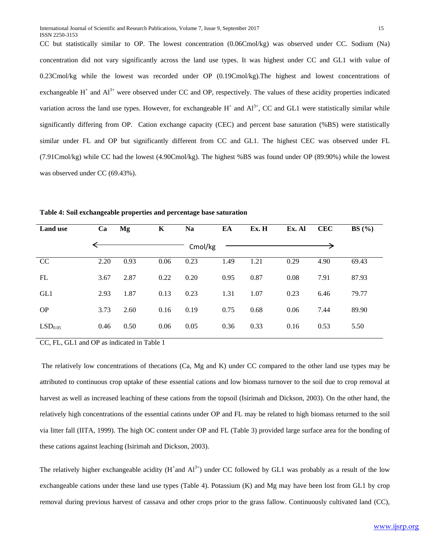CC but statistically similar to OP. The lowest concentration (0.06Cmol/kg) was observed under CC. Sodium (Na) concentration did not vary significantly across the land use types. It was highest under CC and GL1 with value of 0.23Cmol/kg while the lowest was recorded under OP (0.19Cmol/kg).The highest and lowest concentrations of exchangeable  $H^+$  and  $Al^{3+}$  were observed under CC and OP, respectively. The values of these acidity properties indicated variation across the land use types. However, for exchangeable  $H^+$  and  $Al^{3+}$ , CC and GL1 were statistically similar while significantly differing from OP. Cation exchange capacity (CEC) and percent base saturation (%BS) were statistically similar under FL and OP but significantly different from CC and GL1. The highest CEC was observed under FL (7.91Cmol/kg) while CC had the lowest (4.90Cmol/kg). The highest %BS was found under OP (89.90%) while the lowest was observed under CC (69.43%).

| <b>Land use</b>     | Ca   | Mg   | K    | <b>Na</b> | EA   | Ex. H | Ex. Al | <b>CEC</b> | BS(%) |
|---------------------|------|------|------|-----------|------|-------|--------|------------|-------|
|                     |      |      |      | Cmol/kg   |      |       |        |            |       |
| CC                  | 2.20 | 0.93 | 0.06 | 0.23      | 1.49 | 1.21  | 0.29   | 4.90       | 69.43 |
| FL                  | 3.67 | 2.87 | 0.22 | 0.20      | 0.95 | 0.87  | 0.08   | 7.91       | 87.93 |
| GL1                 | 2.93 | 1.87 | 0.13 | 0.23      | 1.31 | 1.07  | 0.23   | 6.46       | 79.77 |
| <b>OP</b>           | 3.73 | 2.60 | 0.16 | 0.19      | 0.75 | 0.68  | 0.06   | 7.44       | 89.90 |
| LSD <sub>0.05</sub> | 0.46 | 0.50 | 0.06 | 0.05      | 0.36 | 0.33  | 0.16   | 0.53       | 5.50  |

**Table 4: Soil exchangeable properties and percentage base saturation**

CC, FL, GL1 and OP as indicated in Table 1

The relatively low concentrations of thecations (Ca, Mg and K) under CC compared to the other land use types may be attributed to continuous crop uptake of these essential cations and low biomass turnover to the soil due to crop removal at harvest as well as increased leaching of these cations from the topsoil (Isirimah and Dickson, 2003). On the other hand, the relatively high concentrations of the essential cations under OP and FL may be related to high biomass returned to the soil via litter fall (IITA, 1999). The high OC content under OP and FL (Table 3) provided large surface area for the bonding of these cations against leaching (Isirimah and Dickson, 2003).

The relatively higher exchangeable acidity  $(H^+$ and  $Al^{3+})$  under CC followed by GL1 was probably as a result of the low exchangeable cations under these land use types (Table 4). Potassium (K) and Mg may have been lost from GL1 by crop removal during previous harvest of cassava and other crops prior to the grass fallow. Continuously cultivated land (CC),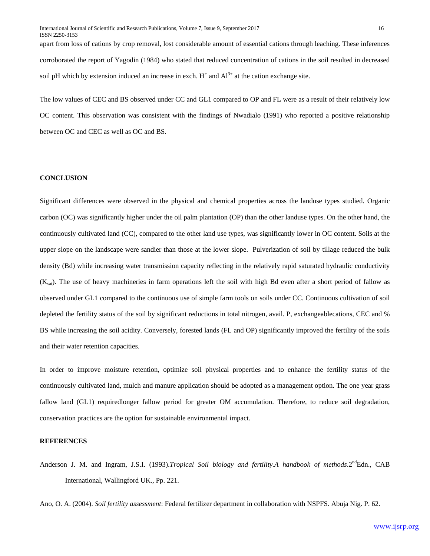apart from loss of cations by crop removal, lost considerable amount of essential cations through leaching. These inferences corroborated the report of Yagodin (1984) who stated that reduced concentration of cations in the soil resulted in decreased soil pH which by extension induced an increase in exch.  $H^+$  and  $Al^{3+}$  at the cation exchange site.

The low values of CEC and BS observed under CC and GL1 compared to OP and FL were as a result of their relatively low OC content. This observation was consistent with the findings of Nwadialo (1991) who reported a positive relationship between OC and CEC as well as OC and BS.

## **CONCLUSION**

Significant differences were observed in the physical and chemical properties across the landuse types studied. Organic carbon (OC) was significantly higher under the oil palm plantation (OP) than the other landuse types. On the other hand, the continuously cultivated land (CC), compared to the other land use types, was significantly lower in OC content. Soils at the upper slope on the landscape were sandier than those at the lower slope. Pulverization of soil by tillage reduced the bulk density (Bd) while increasing water transmission capacity reflecting in the relatively rapid saturated hydraulic conductivity  $(K_{\text{sat}})$ . The use of heavy machineries in farm operations left the soil with high Bd even after a short period of fallow as observed under GL1 compared to the continuous use of simple farm tools on soils under CC. Continuous cultivation of soil depleted the fertility status of the soil by significant reductions in total nitrogen, avail. P, exchangeablecations, CEC and % BS while increasing the soil acidity. Conversely, forested lands (FL and OP) significantly improved the fertility of the soils and their water retention capacities.

In order to improve moisture retention, optimize soil physical properties and to enhance the fertility status of the continuously cultivated land, mulch and manure application should be adopted as a management option. The one year grass fallow land (GL1) requiredlonger fallow period for greater OM accumulation. Therefore, to reduce soil degradation, conservation practices are the option for sustainable environmental impact.

## **REFERENCES**

Anderson J. M. and Ingram, J.S.I. (1993).*Tropical Soil biology and fertility.A handbook of methods*.2<sup>nd</sup>Edn., CAB International, Wallingford UK., Pp. 221.

Ano, O. A. (2004). *Soil fertility assessment*: Federal fertilizer department in collaboration with NSPFS. Abuja Nig. P. 62.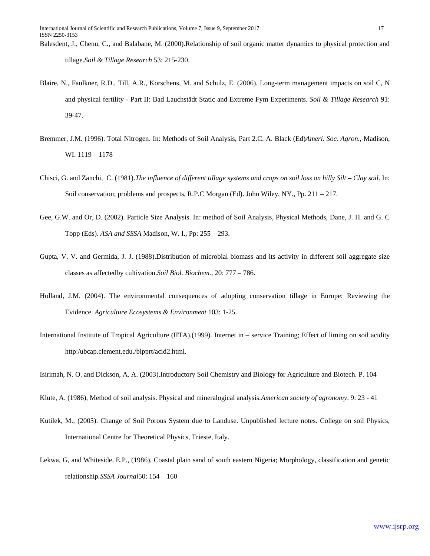- Blaire, N., Faulkner, R.D., Till, A.R., Korschens, M. and Schulz, E. (2006). Long-term management impacts on soil C, N and physical fertility - Part II: Bad Lauchstädt Static and Extreme Fym Experiments. *Soil & Tillage Research* 91: 39-47.
- Bremmer, J.M. (1996). Total Nitrogen. In: Methods of Soil Analysis, Part 2.C. A. Black (Ed)*Ameri. Soc. Agron.*, Madison, WI. 1119 – 1178
- Chisci, G. and Zanchi, C. (1981).*The influence of different tillage systems and crops on soil loss on hilly Silt – Clay soil*. In: Soil conservation; problems and prospects, R.P.C Morgan (Ed). John Wiley, NY., Pp. 211 – 217.
- Gee, G.W. and Or, D. (2002). Particle Size Analysis. In: method of Soil Analysis, Physical Methods, Dane, J. H. and G. C Topp (Eds). *ASA and SSSA* Madison, W. I., Pp: 255 – 293.
- Gupta, V. V. and Germida, J. J. (1988).Distribution of microbial biomass and its activity in different soil aggregate size classes as affectedby cultivation.*Soil Biol. Biochem.*, 20: 777 – 786.
- Holland, J.M. (2004). The environmental consequences of adopting conservation tillage in Europe: Reviewing the Evidence. *Agriculture Ecosystems & Environment* 103: 1-25.
- International Institute of Tropical Agriculture (IITA).(1999). Internet in service Training; Effect of liming on soil acidity http:/ubcap.clement.edu./blpprt/acid2.html.
- Isirimah, N. O. and Dickson, A. A. (2003).Introductory Soil Chemistry and Biology for Agriculture and Biotech. P. 104
- Klute, A. (1986), Method of soil analysis. Physical and mineralogical analysis.*American society of agronomy*. 9: 23 41
- Kutilek, M., (2005). Change of Soil Porous System due to Landuse. Unpublished lecture notes. College on soil Physics, International Centre for Theoretical Physics, Trieste, Italy.
- Lekwa, G, and Whiteside, E.P., (1986), Coastal plain sand of south eastern Nigeria; Morphology, classification and genetic relationship*.SSSA Journal*50: 154 – 160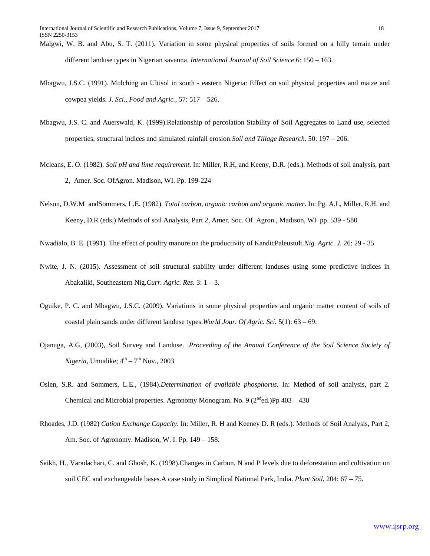- Malgwi, W. B. and Abu, S. T. (2011). Variation in some physical properties of soils formed on a hilly terrain under different landuse types in Nigerian savanna. *International Journal of Soil Science* 6: 150 – 163.
- Mbagwu, J.S.C. (1991). Mulching an Ultisol in south eastern Nigeria: Effect on soil physical properties and maize and cowpea yields. *J. Sci., Food and Agric.*, 57: 517 – 526.
- Mbagwu, J.S. C. and Auerswald, K. (1999).Relationship of percolation Stability of Soil Aggregates to Land use, selected properties, structural indices and simulated rainfall erosion.*Soil and Tillage Research*. 50: 197 – 206.
- Mcleans, E. O. (1982). *Soil pH and lime requirement*. In: Miller, R.H, and Keeny, D.R. (eds.). Methods of soil analysis, part 2, Amer. Soc. OfAgron. Madison, WI. Pp. 199-224
- Nelson, D.W.M andSommers, L.E. (1982). *Total carbon, organic carbon and organic matter*. In: Pg. A.L, Miller, R.H. and Keeny, D.R (eds.) Methods of soil Analysis, Part 2, Amer. Soc. Of Agron., Madison, WI pp. 539 - 580

Nwadialo, B. E. (1991). The effect of poultry manure on the productivity of KandicPaleustult.*Nig. Agric. J.* 26: 29 - 35

- Nwite, J. N. (2015). Assessment of soil structural stability under different landuses using some predictive indices in Abakaliki, Southeastern Nig.*Curr. Agric. Res.* 3: 1 – 3.
- Oguike, P. C. and Mbagwu, J.S.C. (2009). Variations in some physical properties and organic matter content of soils of coastal plain sands under different landuse types.*World Jour. Of Agric. Sci.* 5(1): 63 – 69.
- Ojanuga, A.G, (2003), Soil Survey and Landuse. .*Proceeding of the Annual Conference of the Soil Science Society of Nigeria*, Umudike;  $4<sup>th</sup> - 7<sup>th</sup>$  Nov., 2003
- Oslen, S.R. and Sommers, L.E., (1984).*Determination of available phosphorus*. In: Method of soil analysis, part 2. Chemical and Microbial properties. Agronomy Monogram. No. 9 ( $2<sup>nd</sup>$ ed.)Pp 403 – 430
- Rhoades, J.D. (1982) *Cation Exchange Capacity*. In: Miller, R. H and Keeney D. R (eds.). Methods of Soil Analysis, Part 2, Am. Soc. of Agronomy. Madison, W. I. Pp. 149 – 158.
- Saikh, H., Varadachari, C. and Ghosh, K. (1998).Changes in Carbon, N and P levels due to deforestation and cultivation on soil CEC and exchangeable bases.A case study in Simplical National Park, India. *Plant Soil*, 204: 67 – 75.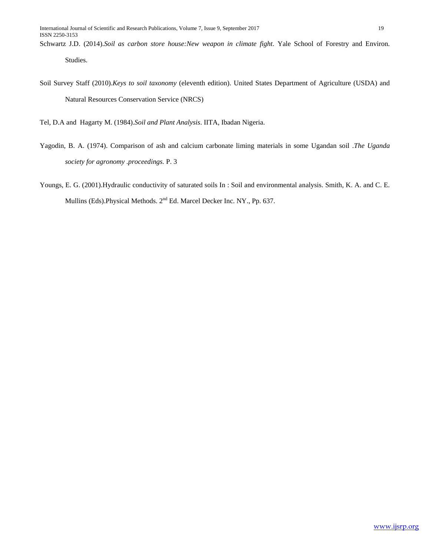Studies.

Soil Survey Staff (2010).*Keys to soil taxonomy* (eleventh edition). United States Department of Agriculture (USDA) and Natural Resources Conservation Service (NRCS)

Tel, D.A and Hagarty M. (1984).*Soil and Plant Analysis*. IITA, Ibadan Nigeria.

- Yagodin, B. A. (1974). Comparison of ash and calcium carbonate liming materials in some Ugandan soil .*The Uganda society for agronomy .proceedings.* P. 3
- Youngs, E. G. (2001).Hydraulic conductivity of saturated soils In : Soil and environmental analysis. Smith, K. A. and C. E. Mullins (Eds). Physical Methods. 2<sup>nd</sup> Ed. Marcel Decker Inc. NY., Pp. 637.